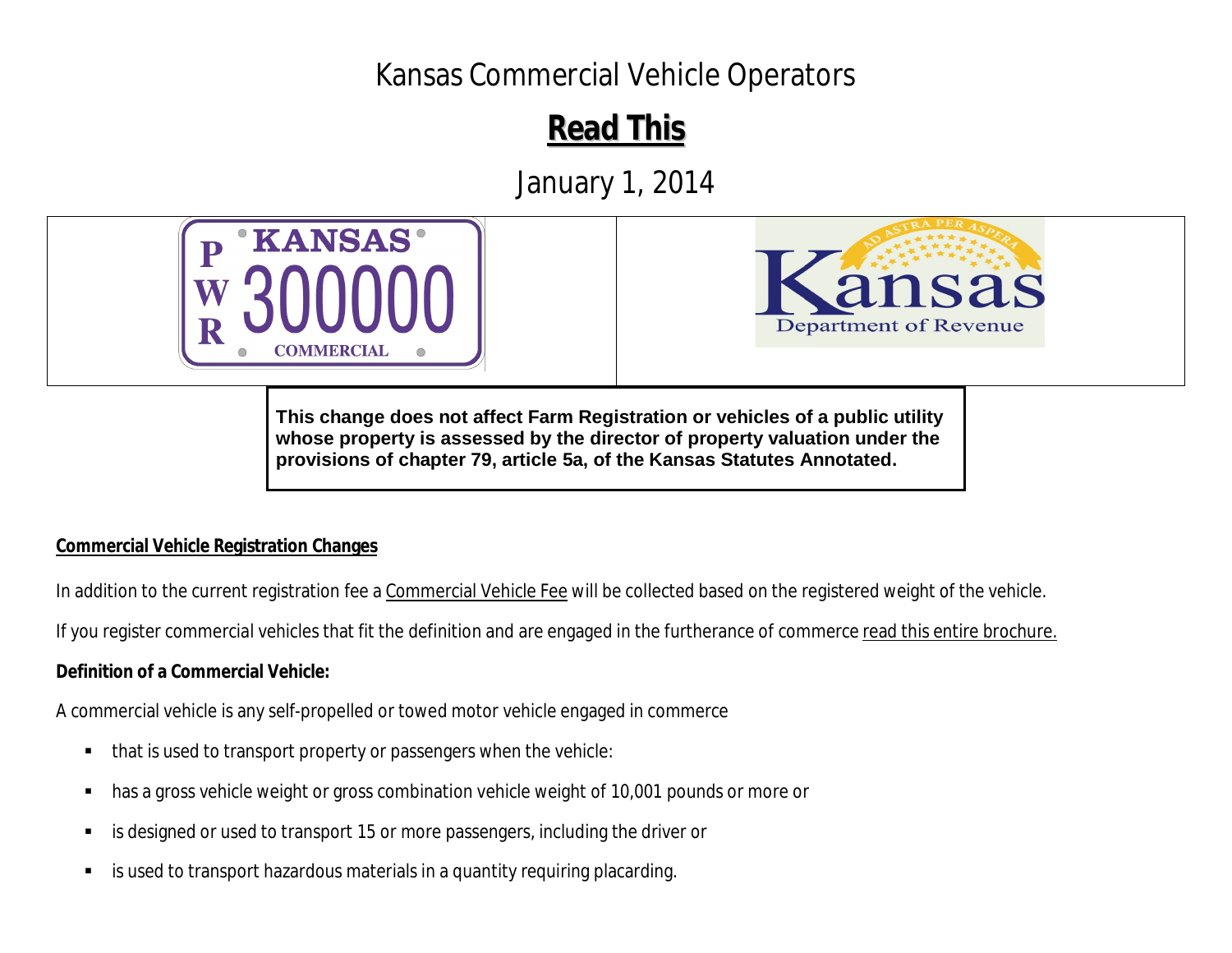# Kansas Commercial Vehicle Operators

# **Read This ead ThisR**

January 1, 2014





**This change does not affect Farm Registration or vehicles of a public utility whose property is assessed by the director of property valuation under the provisions of chapter 79, article 5a, of the Kansas Statutes Annotated.** 

#### **Commercial Vehicle Registration Changes**

In addition to the current registration fee a Commercial Vehicle Fee will be collected based on the registered weight of the vehicle.

If you register commercial vehicles that fit the definition and are engaged in the furtherance of commerce read this entire brochure.

## **Definition of a Commercial Vehicle:**

A commercial vehicle is any self-propelled or towed motor vehicle engaged in commerce

- ٠ that is used to transport property or passengers when the vehicle:
- ٠ has a gross vehicle weight or gross combination vehicle weight of 10,001 pounds or more or
- П is designed or used to transport 15 or more passengers, including the driver or
- $\blacksquare$ is used to transport hazardous materials in a quantity requiring placarding.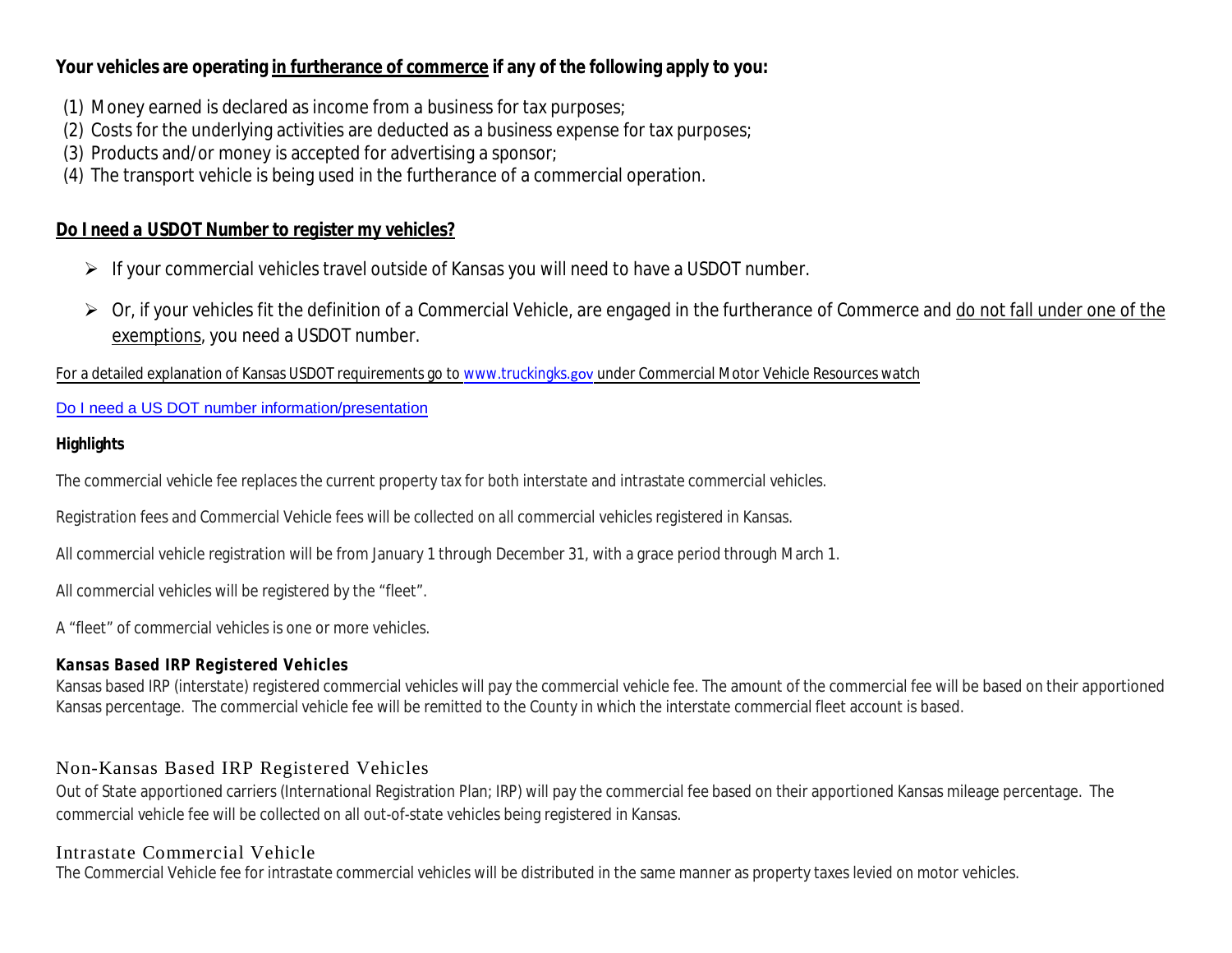#### **Your vehicles are operating in furtherance of commerce if any of the following apply to you:**

- (1) Money earned is declared as income from a business for tax purposes;
- (2) Costs for the underlying activities are deducted as a business expense for tax purposes;
- (3) Products and/or money is accepted for advertising a sponsor;
- (4) The transport vehicle is being used in the furtherance of a commercial operation.

#### *Do I need a USDOT Number to register my vehicles?*

- If your commercial vehicles travel outside of Kansas you will need to have a USDOT number.
- > Or, if your vehicles fit the definition of a Commercial Vehicle, are engaged in the furtherance of Commerce and do not fall under one of the exemptions, you need a USDOT number.

For a detailed explanation of Kansas USDOT requirements go to www.truckingks.gov under Commercial Motor Vehicle Resources watch

#### Do I need a US DOT number information/presentation

#### **Highlights**

The commercial vehicle fee replaces the current property tax for both interstate and intrastate commercial vehicles.

Registration fees and Commercial Vehicle fees will be collected on all commercial vehicles registered in Kansas.

All commercial vehicle registration will be from January 1 through December 31, with a grace period through March 1.

All commercial vehicles will be registered by the "fleet".

A "fleet" of commercial vehicles is one or more vehicles.

#### **Kansas Based IRP Registered Vehicles**

Kansas based IRP (interstate) registered commercial vehicles will pay the commercial vehicle fee. The amount of the commercial fee will be based on their apportioned Kansas percentage. The commercial vehicle fee will be remitted to the County in which the interstate commercial fleet account is based.

### Non-Kansas Based IRP Registered Vehicles

Out of State apportioned carriers (International Registration Plan; IRP) will pay the commercial fee based on their apportioned Kansas mileage percentage. The commercial vehicle fee will be collected on all out-of-state vehicles being registered in Kansas.

#### Intrastate Commercial Vehicle

The Commercial Vehicle fee for intrastate commercial vehicles will be distributed in the same manner as property taxes levied on motor vehicles.